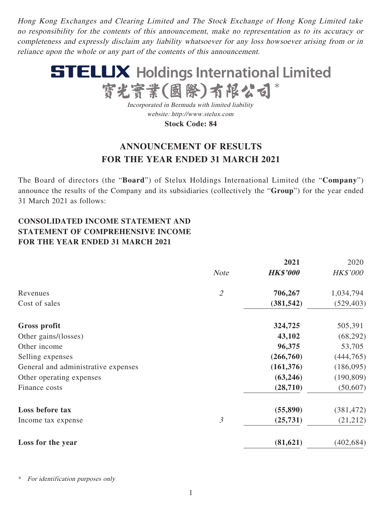Hong Kong Exchanges and Clearing Limited and The Stock Exchange of Hong Kong Limited take no responsibility for the contents of this announcement, make no representation as to its accuracy or completeness and expressly disclaim any liability whatsoever for any loss howsoever arising from or in reliance upon the whole or any part of the contents of this announcement.



Incorporated in Bermuda with limited liability website: http://www.stelux.com **Stock Code: 84**

# **ANNOUNCEMENT OF RESULTS FOR THE YEAR ENDED 31 MARCH 2021**

The Board of directors (the "**Board**") of Stelux Holdings International Limited (the "**Company**") announce the results of the Company and its subsidiaries (collectively the "**Group**") for the year ended 31 March 2021 as follows:

# **CONSOLIDATED INCOME STATEMENT AND STATEMENT OF COMPREHENSIVE INCOME FOR THE YEAR ENDED 31 MARCH 2021**

|                                     |                             | 2021            | 2020            |
|-------------------------------------|-----------------------------|-----------------|-----------------|
|                                     | <b>Note</b>                 | <b>HK\$'000</b> | <b>HK\$'000</b> |
| Revenues                            | $\mathcal{L}_{\mathcal{L}}$ | 706,267         | 1,034,794       |
| Cost of sales                       |                             | (381, 542)      | (529, 403)      |
| Gross profit                        |                             | 324,725         | 505,391         |
| Other gains/(losses)                |                             | 43,102          | (68,292)        |
| Other income                        |                             | 96,375          | 53,705          |
| Selling expenses                    |                             | (266,760)       | (444, 765)      |
| General and administrative expenses |                             | (161, 376)      | (186,095)       |
| Other operating expenses            |                             | (63,246)        | (190, 809)      |
| Finance costs                       |                             | (28,710)        | (50,607)        |
| Loss before tax                     |                             | (55, 890)       | (381, 472)      |
| Income tax expense                  | $\mathfrak{Z}$              | (25, 731)       | (21,212)        |
| Loss for the year                   |                             | (81, 621)       | (402, 684)      |

For identification purposes only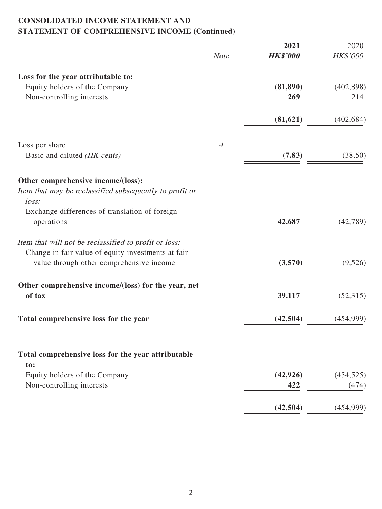## **CONSOLIDATED INCOME STATEMENT AND STATEMENT OF COMPREHENSIVE INCOME (Continued)**

| <b>HK\$'000</b><br>HK\$'000<br><b>Note</b><br>Loss for the year attributable to:<br>Equity holders of the Company<br>(81, 890)<br>Non-controlling interests<br>269<br>214<br>(81, 621)<br>Loss per share<br>$\overline{4}$<br>Basic and diluted (HK cents)<br>(7.83)<br>Other comprehensive income/(loss):<br>Item that may be reclassified subsequently to profit or<br>loss:<br>Exchange differences of translation of foreign<br>operations<br>42,687<br>Item that will not be reclassified to profit or loss:<br>Change in fair value of equity investments at fair<br>value through other comprehensive income<br>(3,570)<br>Other comprehensive income/(loss) for the year, net<br>of tax<br>39,117<br>(42, 504)<br>Total comprehensive loss for the year<br>(454, 999)<br>Total comprehensive loss for the year attributable<br>to:<br>Equity holders of the Company<br>(42, 926)<br>(454, 525)<br>Non-controlling interests<br>422<br>(474)<br>(42, 504) |  | 2021 | 2020       |
|------------------------------------------------------------------------------------------------------------------------------------------------------------------------------------------------------------------------------------------------------------------------------------------------------------------------------------------------------------------------------------------------------------------------------------------------------------------------------------------------------------------------------------------------------------------------------------------------------------------------------------------------------------------------------------------------------------------------------------------------------------------------------------------------------------------------------------------------------------------------------------------------------------------------------------------------------------------|--|------|------------|
|                                                                                                                                                                                                                                                                                                                                                                                                                                                                                                                                                                                                                                                                                                                                                                                                                                                                                                                                                                  |  |      |            |
|                                                                                                                                                                                                                                                                                                                                                                                                                                                                                                                                                                                                                                                                                                                                                                                                                                                                                                                                                                  |  |      |            |
|                                                                                                                                                                                                                                                                                                                                                                                                                                                                                                                                                                                                                                                                                                                                                                                                                                                                                                                                                                  |  |      | (402, 898) |
|                                                                                                                                                                                                                                                                                                                                                                                                                                                                                                                                                                                                                                                                                                                                                                                                                                                                                                                                                                  |  |      |            |
|                                                                                                                                                                                                                                                                                                                                                                                                                                                                                                                                                                                                                                                                                                                                                                                                                                                                                                                                                                  |  |      | (402, 684) |
|                                                                                                                                                                                                                                                                                                                                                                                                                                                                                                                                                                                                                                                                                                                                                                                                                                                                                                                                                                  |  |      |            |
|                                                                                                                                                                                                                                                                                                                                                                                                                                                                                                                                                                                                                                                                                                                                                                                                                                                                                                                                                                  |  |      | (38.50)    |
|                                                                                                                                                                                                                                                                                                                                                                                                                                                                                                                                                                                                                                                                                                                                                                                                                                                                                                                                                                  |  |      |            |
|                                                                                                                                                                                                                                                                                                                                                                                                                                                                                                                                                                                                                                                                                                                                                                                                                                                                                                                                                                  |  |      |            |
|                                                                                                                                                                                                                                                                                                                                                                                                                                                                                                                                                                                                                                                                                                                                                                                                                                                                                                                                                                  |  |      |            |
|                                                                                                                                                                                                                                                                                                                                                                                                                                                                                                                                                                                                                                                                                                                                                                                                                                                                                                                                                                  |  |      | (42,789)   |
|                                                                                                                                                                                                                                                                                                                                                                                                                                                                                                                                                                                                                                                                                                                                                                                                                                                                                                                                                                  |  |      |            |
|                                                                                                                                                                                                                                                                                                                                                                                                                                                                                                                                                                                                                                                                                                                                                                                                                                                                                                                                                                  |  |      |            |
|                                                                                                                                                                                                                                                                                                                                                                                                                                                                                                                                                                                                                                                                                                                                                                                                                                                                                                                                                                  |  |      | (9,526)    |
|                                                                                                                                                                                                                                                                                                                                                                                                                                                                                                                                                                                                                                                                                                                                                                                                                                                                                                                                                                  |  |      |            |
|                                                                                                                                                                                                                                                                                                                                                                                                                                                                                                                                                                                                                                                                                                                                                                                                                                                                                                                                                                  |  |      | (52,315)   |
|                                                                                                                                                                                                                                                                                                                                                                                                                                                                                                                                                                                                                                                                                                                                                                                                                                                                                                                                                                  |  |      |            |
|                                                                                                                                                                                                                                                                                                                                                                                                                                                                                                                                                                                                                                                                                                                                                                                                                                                                                                                                                                  |  |      |            |
|                                                                                                                                                                                                                                                                                                                                                                                                                                                                                                                                                                                                                                                                                                                                                                                                                                                                                                                                                                  |  |      |            |
|                                                                                                                                                                                                                                                                                                                                                                                                                                                                                                                                                                                                                                                                                                                                                                                                                                                                                                                                                                  |  |      |            |
|                                                                                                                                                                                                                                                                                                                                                                                                                                                                                                                                                                                                                                                                                                                                                                                                                                                                                                                                                                  |  |      |            |
|                                                                                                                                                                                                                                                                                                                                                                                                                                                                                                                                                                                                                                                                                                                                                                                                                                                                                                                                                                  |  |      | (454,999)  |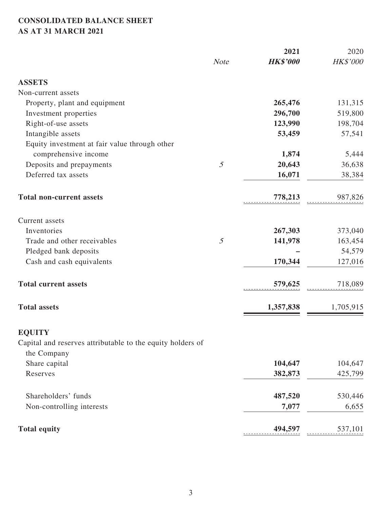## **CONSOLIDATED BALANCE SHEET AS AT 31 MARCH 2021**

|                                                                           |                | 2021            | 2020      |
|---------------------------------------------------------------------------|----------------|-----------------|-----------|
|                                                                           | <b>Note</b>    | <b>HK\$'000</b> | HK\$'000  |
| <b>ASSETS</b>                                                             |                |                 |           |
| Non-current assets                                                        |                |                 |           |
| Property, plant and equipment                                             |                | 265,476         | 131,315   |
| Investment properties                                                     |                | 296,700         | 519,800   |
| Right-of-use assets                                                       |                | 123,990         | 198,704   |
| Intangible assets                                                         |                | 53,459          | 57,541    |
| Equity investment at fair value through other                             |                |                 |           |
| comprehensive income                                                      |                | 1,874           | 5,444     |
| Deposits and prepayments                                                  | $\mathfrak{H}$ | 20,643          | 36,638    |
| Deferred tax assets                                                       |                | 16,071          | 38,384    |
| <b>Total non-current assets</b>                                           |                | 778,213         | 987,826   |
| Current assets                                                            |                |                 |           |
| Inventories                                                               |                | 267,303         | 373,040   |
| Trade and other receivables                                               | 5              | 141,978         | 163,454   |
| Pledged bank deposits                                                     |                |                 | 54,579    |
| Cash and cash equivalents                                                 |                | 170,344         | 127,016   |
| <b>Total current assets</b>                                               |                | 579,625         | 718,089   |
| <b>Total assets</b>                                                       |                | 1,357,838       | 1,705,915 |
| <b>EQUITY</b>                                                             |                |                 |           |
| Capital and reserves attributable to the equity holders of<br>the Company |                |                 |           |
| Share capital                                                             |                | 104,647         | 104,647   |
| Reserves                                                                  |                | 382,873         | 425,799   |
|                                                                           |                |                 |           |
| Shareholders' funds                                                       |                | 487,520         | 530,446   |
| Non-controlling interests                                                 |                | 7,077           | 6,655     |
| <b>Total equity</b>                                                       |                | 494,597         | 537,101   |
|                                                                           |                |                 |           |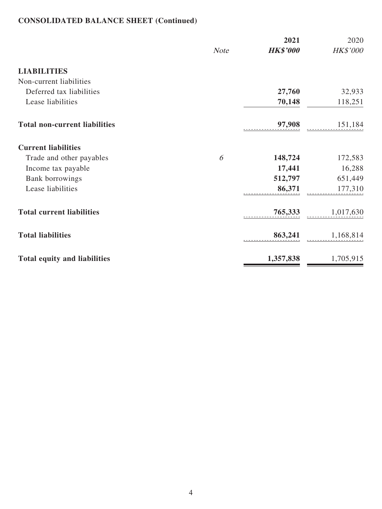# **CONSOLIDATED BALANCE SHEET (Continued)**

|                                      |             | 2021            | 2020              |
|--------------------------------------|-------------|-----------------|-------------------|
|                                      | <b>Note</b> | <b>HK\$'000</b> | HK\$'000          |
| <b>LIABILITIES</b>                   |             |                 |                   |
| Non-current liabilities              |             |                 |                   |
| Deferred tax liabilities             |             | 27,760          | 32,933            |
| Lease liabilities                    |             | 70,148          | 118,251           |
| <b>Total non-current liabilities</b> |             | 97,908          | 151,184           |
| <b>Current liabilities</b>           |             |                 |                   |
| Trade and other payables             | 6           | 148,724         | 172,583           |
| Income tax payable                   |             | 17,441          | 16,288            |
| <b>Bank borrowings</b>               |             | 512,797         | 651,449           |
| Lease liabilities                    |             | 86,371          | 177,310           |
| <b>Total current liabilities</b>     |             | 765,333         | 1,017,630         |
| <b>Total liabilities</b>             |             |                 | 863,241 1,168,814 |
| <b>Total equity and liabilities</b>  |             | 1,357,838       | 1,705,915         |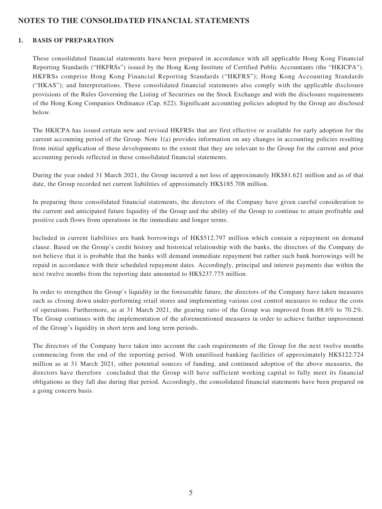### **NOTES TO THE CONSOLIDATED FINANCIAL STATEMENTS**

#### **1. BASIS OF PREPARATION**

These consolidated financial statements have been prepared in accordance with all applicable Hong Kong Financial Reporting Standards ("HKFRSs") issued by the Hong Kong Institute of Certified Public Accountants (the "HKICPA"). HKFRSs comprise Hong Kong Financial Reporting Standards ("HKFRS"); Hong Kong Accounting Standards ("HKAS"); and Interpretations. These consolidated financial statements also comply with the applicable disclosure provisions of the Rules Governing the Listing of Securities on the Stock Exchange and with the disclosure requirements of the Hong Kong Companies Ordinance (Cap. 622). Significant accounting policies adopted by the Group are disclosed below.

The HKICPA has issued certain new and revised HKFRSs that are first effective or available for early adoption for the current accounting period of the Group. Note 1(a) provides information on any changes in accounting policies resulting from initial application of these developments to the extent that they are relevant to the Group for the current and prior accounting periods reflected in these consolidated financial statements.

During the year ended 31 March 2021, the Group incurred a net loss of approximately HK\$81.621 million and as of that date, the Group recorded net current liabilities of approximately HK\$185.708 million.

In preparing these consolidated financial statements, the directors of the Company have given careful consideration to the current and anticipated future liquidity of the Group and the ability of the Group to continue to attain profitable and positive cash flows from operations in the immediate and longer terms.

Included in current liabilities are bank borrowings of HK\$512.797 million which contain a repayment on demand clause. Based on the Group's credit history and historical relationship with the banks, the directors of the Company do not believe that it is probable that the banks will demand immediate repayment but rather such bank borrowings will be repaid in accordance with their scheduled repayment dates. Accordingly, principal and interest payments due within the next twelve months from the reporting date amounted to HK\$237.775 million.

In order to strengthen the Group's liquidity in the foreseeable future, the directors of the Company have taken measures such as closing down under-performing retail stores and implementing various cost control measures to reduce the costs of operations. Furthermore, as at 31 March 2021, the gearing ratio of the Group was improved from 88.6% to 70.2%. The Group continues with the implementation of the aforementioned measures in order to achieve further improvement of the Group's liquidity in short term and long term periods.

The directors of the Company have taken into account the cash requirements of the Group for the next twelve months commencing from the end of the reporting period. With unutilised banking facilities of approximately HK\$122.724 million as at 31 March 2021, other potential sources of funding, and continued adoption of the above measures, the directors have therefore concluded that the Group will have sufficient working capital to fully meet its financial obligations as they fall due during that period. Accordingly, the consolidated financial statements have been prepared on a going concern basis.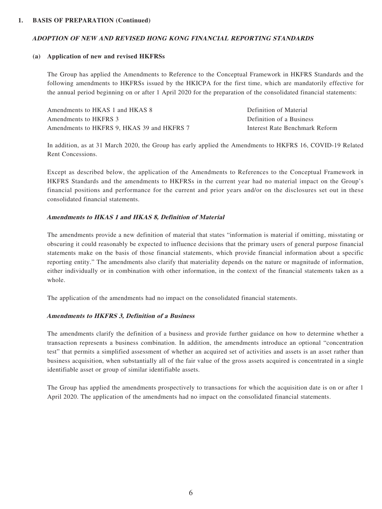#### **1. BASIS OF PREPARATION (Continued)**

#### **ADOPTION OF NEW AND REVISED HONG KONG FINANCIAL REPORTING STANDARDS**

#### **(a) Application of new and revised HKFRSs**

The Group has applied the Amendments to Reference to the Conceptual Framework in HKFRS Standards and the following amendments to HKFRSs issued by the HKICPA for the first time, which are mandatorily effective for the annual period beginning on or after 1 April 2020 for the preparation of the consolidated financial statements:

| Amendments to HKAS 1 and HKAS 8            | Definition of Material         |
|--------------------------------------------|--------------------------------|
| Amendments to HKFRS 3                      | Definition of a Business       |
| Amendments to HKFRS 9. HKAS 39 and HKFRS 7 | Interest Rate Benchmark Reform |

In addition, as at 31 March 2020, the Group has early applied the Amendments to HKFRS 16, COVID-19 Related Rent Concessions.

Except as described below, the application of the Amendments to References to the Conceptual Framework in HKFRS Standards and the amendments to HKFRSs in the current year had no material impact on the Group's financial positions and performance for the current and prior years and/or on the disclosures set out in these consolidated financial statements.

#### **Amendments to HKAS 1 and HKAS 8, Definition of Material**

The amendments provide a new definition of material that states "information is material if omitting, misstating or obscuring it could reasonably be expected to influence decisions that the primary users of general purpose financial statements make on the basis of those financial statements, which provide financial information about a specific reporting entity." The amendments also clarify that materiality depends on the nature or magnitude of information, either individually or in combination with other information, in the context of the financial statements taken as a whole.

The application of the amendments had no impact on the consolidated financial statements.

#### **Amendments to HKFRS 3, Definition of a Business**

The amendments clarify the definition of a business and provide further guidance on how to determine whether a transaction represents a business combination. In addition, the amendments introduce an optional "concentration test" that permits a simplified assessment of whether an acquired set of activities and assets is an asset rather than business acquisition, when substantially all of the fair value of the gross assets acquired is concentrated in a single identifiable asset or group of similar identifiable assets.

The Group has applied the amendments prospectively to transactions for which the acquisition date is on or after 1 April 2020. The application of the amendments had no impact on the consolidated financial statements.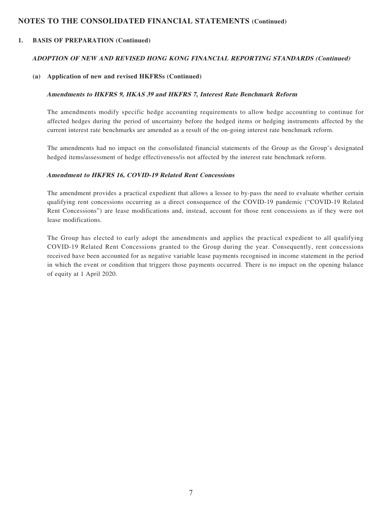#### **1. BASIS OF PREPARATION (Continued)**

#### **ADOPTION OF NEW AND REVISED HONG KONG FINANCIAL REPORTING STANDARDS (Continued)**

#### **(a) Application of new and revised HKFRSs (Continued)**

#### **Amendments to HKFRS 9, HKAS 39 and HKFRS 7, Interest Rate Benchmark Reform**

The amendments modify specific hedge accounting requirements to allow hedge accounting to continue for affected hedges during the period of uncertainty before the hedged items or hedging instruments affected by the current interest rate benchmarks are amended as a result of the on-going interest rate benchmark reform.

The amendments had no impact on the consolidated financial statements of the Group as the Group's designated hedged items/assessment of hedge effectiveness/is not affected by the interest rate benchmark reform.

#### **Amendment to HKFRS 16, COVID-19 Related Rent Concessions**

The amendment provides a practical expedient that allows a lessee to by-pass the need to evaluate whether certain qualifying rent concessions occurring as a direct consequence of the COVID-19 pandemic ("COVID-19 Related Rent Concessions") are lease modifications and, instead, account for those rent concessions as if they were not lease modifications.

The Group has elected to early adopt the amendments and applies the practical expedient to all qualifying COVID-19 Related Rent Concessions granted to the Group during the year. Consequently, rent concessions received have been accounted for as negative variable lease payments recognised in income statement in the period in which the event or condition that triggers those payments occurred. There is no impact on the opening balance of equity at 1 April 2020.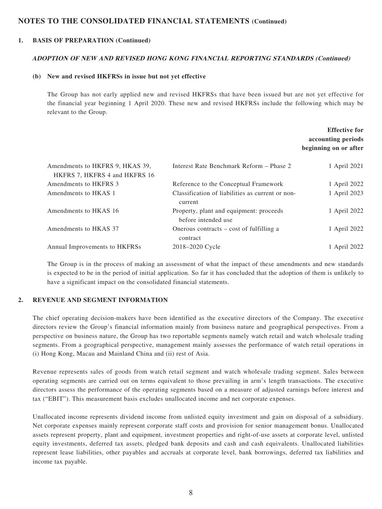#### **1. BASIS OF PREPARATION (Continued)**

#### **ADOPTION OF NEW AND REVISED HONG KONG FINANCIAL REPORTING STANDARDS (Continued)**

#### **(b) New and revised HKFRSs in issue but not yet effective**

The Group has not early applied new and revised HKFRSs that have been issued but are not yet effective for the financial year beginning 1 April 2020. These new and revised HKFRSs include the following which may be relevant to the Group.

### **Effective for accounting periods beginning on or after**

| Amendments to HKFRS 9, HKAS 39,<br>HKFRS 7, HKFRS 4 and HKFRS 16 | Interest Rate Benchmark Reform – Phase 2                       | 1 April 2021 |
|------------------------------------------------------------------|----------------------------------------------------------------|--------------|
| Amendments to HKFRS 3                                            | Reference to the Conceptual Framework                          | 1 April 2022 |
| Amendments to HKAS 1                                             | Classification of liabilities as current or non-<br>current    | 1 April 2023 |
| Amendments to HKAS 16                                            | Property, plant and equipment: proceeds<br>before intended use | 1 April 2022 |
| Amendments to HKAS 37                                            | Onerous contracts – cost of fulfilling a<br>contract           | 1 April 2022 |
| Annual Improvements to HKFRSs                                    | 2018–2020 Cycle                                                | 1 April 2022 |

The Group is in the process of making an assessment of what the impact of these amendments and new standards is expected to be in the period of initial application. So far it has concluded that the adoption of them is unlikely to have a significant impact on the consolidated financial statements.

#### **2. REVENUE AND SEGMENT INFORMATION**

The chief operating decision-makers have been identified as the executive directors of the Company. The executive directors review the Group's financial information mainly from business nature and geographical perspectives. From a perspective on business nature, the Group has two reportable segments namely watch retail and watch wholesale trading segments. From a geographical perspective, management mainly assesses the performance of watch retail operations in (i) Hong Kong, Macau and Mainland China and (ii) rest of Asia.

Revenue represents sales of goods from watch retail segment and watch wholesale trading segment. Sales between operating segments are carried out on terms equivalent to those prevailing in arm's length transactions. The executive directors assess the performance of the operating segments based on a measure of adjusted earnings before interest and tax ("EBIT"). This measurement basis excludes unallocated income and net corporate expenses.

Unallocated income represents dividend income from unlisted equity investment and gain on disposal of a subsidiary. Net corporate expenses mainly represent corporate staff costs and provision for senior management bonus. Unallocated assets represent property, plant and equipment, investment properties and right-of-use assets at corporate level, unlisted equity investments, deferred tax assets, pledged bank deposits and cash and cash equivalents. Unallocated liabilities represent lease liabilities, other payables and accruals at corporate level, bank borrowings, deferred tax liabilities and income tax payable.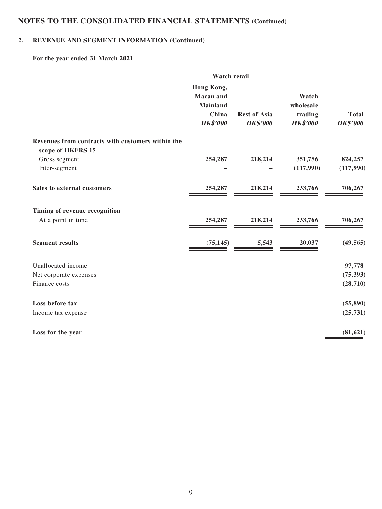### **2. REVENUE AND SEGMENT INFORMATION (Continued)**

**For the year ended 31 March 2021**

|                                                   | <b>Watch retail</b>                                                           |                                        |                                                  |                                 |
|---------------------------------------------------|-------------------------------------------------------------------------------|----------------------------------------|--------------------------------------------------|---------------------------------|
|                                                   | Hong Kong,<br><b>Macau</b> and<br><b>Mainland</b><br>China<br><b>HK\$'000</b> | <b>Rest of Asia</b><br><b>HK\$'000</b> | Watch<br>wholesale<br>trading<br><b>HK\$'000</b> | <b>Total</b><br><b>HK\$'000</b> |
|                                                   |                                                                               |                                        |                                                  |                                 |
| Revenues from contracts with customers within the |                                                                               |                                        |                                                  |                                 |
| scope of HKFRS 15                                 |                                                                               |                                        |                                                  |                                 |
| Gross segment                                     | 254,287                                                                       | 218,214                                | 351,756                                          | 824,257                         |
| Inter-segment                                     |                                                                               |                                        | (117,990)                                        | (117,990)                       |
| Sales to external customers                       | 254,287                                                                       | 218,214                                | 233,766                                          | 706,267                         |
| Timing of revenue recognition                     |                                                                               |                                        |                                                  |                                 |
| At a point in time                                | 254,287                                                                       | 218,214                                | 233,766                                          | 706,267                         |
| <b>Segment results</b>                            | (75, 145)                                                                     | 5,543                                  | 20,037                                           | (49, 565)                       |
| Unallocated income                                |                                                                               |                                        |                                                  | 97,778                          |
| Net corporate expenses                            |                                                                               |                                        |                                                  | (75, 393)                       |
| Finance costs                                     |                                                                               |                                        |                                                  | (28, 710)                       |
| Loss before tax                                   |                                                                               |                                        |                                                  | (55, 890)                       |
| Income tax expense                                |                                                                               |                                        |                                                  | (25, 731)                       |
| Loss for the year                                 |                                                                               |                                        |                                                  | (81, 621)                       |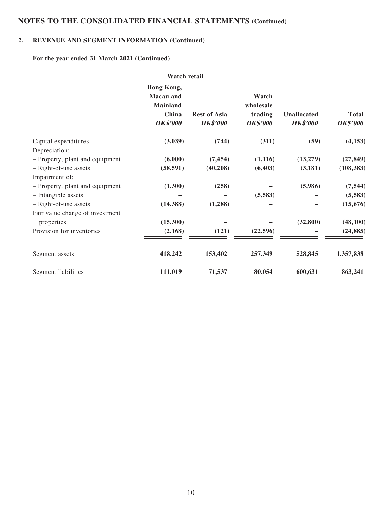## **2. REVENUE AND SEGMENT INFORMATION (Continued)**

**For the year ended 31 March 2021 (Continued)**

|                                 |                                                                               | Watch retail                           |                                                  |                                |                                 |
|---------------------------------|-------------------------------------------------------------------------------|----------------------------------------|--------------------------------------------------|--------------------------------|---------------------------------|
|                                 | Hong Kong,<br><b>Macau</b> and<br><b>Mainland</b><br>China<br><b>HK\$'000</b> | <b>Rest of Asia</b><br><b>HK\$'000</b> | Watch<br>wholesale<br>trading<br><b>HK\$'000</b> | Unallocated<br><b>HK\$'000</b> | <b>Total</b><br><b>HK\$'000</b> |
| Capital expenditures            | (3,039)                                                                       | (744)                                  | (311)                                            | (59)                           | (4, 153)                        |
| Depreciation:                   |                                                                               |                                        |                                                  |                                |                                 |
| - Property, plant and equipment | (6,000)                                                                       | (7, 454)                               | (1, 116)                                         | (13,279)                       | (27, 849)                       |
| - Right-of-use assets           | (58, 591)                                                                     | (40, 208)                              | (6, 403)                                         | (3, 181)                       | (108, 383)                      |
| Impairment of:                  |                                                                               |                                        |                                                  |                                |                                 |
| - Property, plant and equipment | (1,300)                                                                       | (258)                                  |                                                  | (5,986)                        | (7, 544)                        |
| - Intangible assets             |                                                                               |                                        | (5,583)                                          |                                | (5,583)                         |
| - Right-of-use assets           | (14, 388)                                                                     | (1,288)                                |                                                  |                                | (15, 676)                       |
| Fair value change of investment |                                                                               |                                        |                                                  |                                |                                 |
| properties                      | (15,300)                                                                      |                                        |                                                  | (32, 800)                      | (48,100)                        |
| Provision for inventories       | (2,168)                                                                       | (121)                                  | (22, 596)                                        |                                | (24, 885)                       |
| Segment assets                  | 418,242                                                                       | 153,402                                | 257,349                                          | 528,845                        | 1,357,838                       |
| Segment liabilities             | 111,019                                                                       | 71,537                                 | 80,054                                           | 600,631                        | 863,241                         |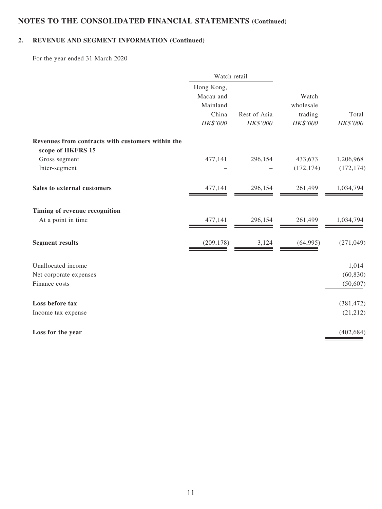## **2. REVENUE AND SEGMENT INFORMATION (Continued)**

For the year ended 31 March 2020

|                                                   | Watch retail |              |                 |            |
|---------------------------------------------------|--------------|--------------|-----------------|------------|
|                                                   | Hong Kong,   |              |                 |            |
|                                                   | Macau and    |              | Watch           |            |
|                                                   | Mainland     |              | wholesale       |            |
|                                                   | China        | Rest of Asia | trading         | Total      |
|                                                   | HK\$'000     | HK\$'000     | <b>HK\$'000</b> | HK\$'000   |
| Revenues from contracts with customers within the |              |              |                 |            |
| scope of HKFRS 15                                 |              |              |                 |            |
| Gross segment                                     | 477,141      | 296,154      | 433,673         | 1,206,968  |
| Inter-segment                                     |              |              | (172, 174)      | (172, 174) |
| Sales to external customers                       | 477,141      | 296,154      | 261,499         | 1,034,794  |
| Timing of revenue recognition                     |              |              |                 |            |
| At a point in time                                | 477,141      | 296,154      | 261,499         | 1,034,794  |
| <b>Segment results</b>                            | (209, 178)   | 3,124        | (64,995)        | (271, 049) |
| Unallocated income                                |              |              |                 | 1,014      |
| Net corporate expenses                            |              |              |                 | (60, 830)  |
| Finance costs                                     |              |              |                 | (50, 607)  |
| Loss before tax                                   |              |              |                 | (381, 472) |
| Income tax expense                                |              |              |                 | (21, 212)  |
| Loss for the year                                 |              |              |                 | (402, 684) |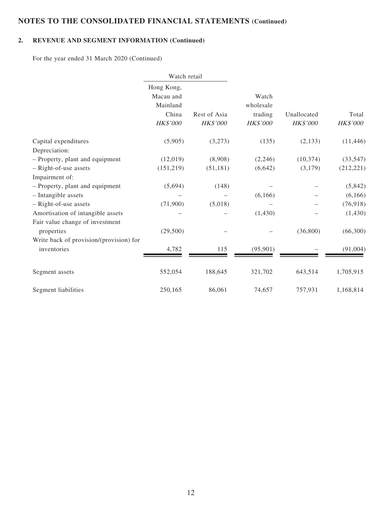## **2. REVENUE AND SEGMENT INFORMATION (Continued)**

For the year ended 31 March 2020 (Continued)

|                                         | Watch retail                                             |                          |                                                  |                         |                   |
|-----------------------------------------|----------------------------------------------------------|--------------------------|--------------------------------------------------|-------------------------|-------------------|
|                                         | Hong Kong,<br>Macau and<br>Mainland<br>China<br>HK\$'000 | Rest of Asia<br>HK\$'000 | Watch<br>wholesale<br>trading<br><b>HK\$'000</b> | Unallocated<br>HK\$'000 | Total<br>HK\$'000 |
| Capital expenditures                    | (5,905)                                                  | (3,273)                  | (135)                                            | (2, 133)                | (11, 446)         |
| Depreciation:                           |                                                          |                          |                                                  |                         |                   |
| - Property, plant and equipment         | (12,019)                                                 | (8,908)                  | (2,246)                                          | (10, 374)               | (33, 547)         |
| - Right-of-use assets                   | (151,219)                                                | (51, 181)                | (6,642)                                          | (3,179)                 | (212, 221)        |
| Impairment of:                          |                                                          |                          |                                                  |                         |                   |
| - Property, plant and equipment         | (5,694)                                                  | (148)                    |                                                  |                         | (5,842)           |
| - Intangible assets                     |                                                          |                          | (6,166)                                          |                         | (6,166)           |
| - Right-of-use assets                   | (71,900)                                                 | (5,018)                  |                                                  |                         | (76, 918)         |
| Amortisation of intangible assets       |                                                          |                          | (1,430)                                          |                         | (1,430)           |
| Fair value change of investment         |                                                          |                          |                                                  |                         |                   |
| properties                              | (29,500)                                                 |                          |                                                  | (36,800)                | (66,300)          |
| Write back of provision/(provision) for |                                                          |                          |                                                  |                         |                   |
| inventories                             | 4,782                                                    | 115                      | (95, 901)                                        |                         | (91,004)          |
| Segment assets                          | 552,054                                                  | 188,645                  | 321,702                                          | 643,514                 | 1,705,915         |
| Segment liabilities                     | 250,165                                                  | 86,061                   | 74,657                                           | 757,931                 | 1,168,814         |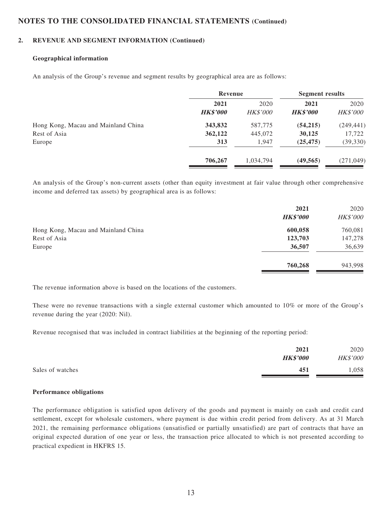#### **2. REVENUE AND SEGMENT INFORMATION (Continued)**

#### **Geographical information**

An analysis of the Group's revenue and segment results by geographical area are as follows:

|                                     | Revenue                 |                         | <b>Segment results</b>  |                         |
|-------------------------------------|-------------------------|-------------------------|-------------------------|-------------------------|
|                                     | 2021<br><b>HK\$'000</b> | 2020<br><b>HK\$'000</b> | 2021<br><b>HK\$'000</b> | 2020<br><b>HK\$'000</b> |
| Hong Kong, Macau and Mainland China | 343,832                 | 587,775                 | (54,215)                | (249, 441)              |
| Rest of Asia                        | 362,122                 | 445,072                 | 30,125                  | 17,722                  |
| Europe                              | 313                     | 1,947                   | (25, 475)               | (39, 330)               |
|                                     | 706,267                 | 1,034,794               | (49, 565)               | (271, 049)              |

An analysis of the Group's non-current assets (other than equity investment at fair value through other comprehensive income and deferred tax assets) by geographical area is as follows:

|                                     | 2021<br><b>HK\$'000</b> | 2020<br><b>HK\$'000</b> |
|-------------------------------------|-------------------------|-------------------------|
| Hong Kong, Macau and Mainland China | 600,058                 | 760,081                 |
| Rest of Asia                        | 123,703                 | 147,278                 |
| Europe                              | 36,507                  | 36,639                  |
|                                     | 760,268                 | 943,998                 |

The revenue information above is based on the locations of the customers.

These were no revenue transactions with a single external customer which amounted to 10% or more of the Group's revenue during the year (2020: Nil).

Revenue recognised that was included in contract liabilities at the beginning of the reporting period:

|                  | 2021            | 2020     |
|------------------|-----------------|----------|
|                  | <b>HK\$'000</b> | HK\$'000 |
| Sales of watches | 451             | ,058     |

#### **Performance obligations**

The performance obligation is satisfied upon delivery of the goods and payment is mainly on cash and credit card settlement, except for wholesale customers, where payment is due within credit period from delivery. As at 31 March 2021, the remaining performance obligations (unsatisfied or partially unsatisfied) are part of contracts that have an original expected duration of one year or less, the transaction price allocated to which is not presented according to practical expedient in HKFRS 15.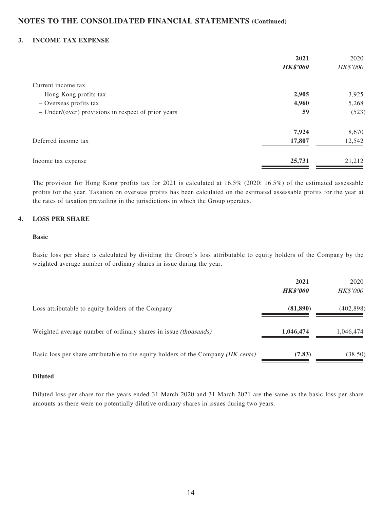#### **3. INCOME TAX EXPENSE**

|                                                       | 2021<br><b>HK\$'000</b> | 2020<br><b>HK\$'000</b> |
|-------------------------------------------------------|-------------------------|-------------------------|
| Current income tax                                    |                         |                         |
| - Hong Kong profits tax                               | 2,905                   | 3,925                   |
| - Overseas profits tax                                | 4,960                   | 5,268                   |
| $-$ Under/(over) provisions in respect of prior years | 59                      | (523)                   |
|                                                       | 7,924                   | 8,670                   |
| Deferred income tax                                   | 17,807                  | 12,542                  |
| Income tax expense                                    | 25,731                  | 21,212                  |

The provision for Hong Kong profits tax for 2021 is calculated at 16.5% (2020: 16.5%) of the estimated assessable profits for the year. Taxation on overseas profits has been calculated on the estimated assessable profits for the year at the rates of taxation prevailing in the jurisdictions in which the Group operates.

#### **4. LOSS PER SHARE**

#### **Basic**

Basic loss per share is calculated by dividing the Group's loss attributable to equity holders of the Company by the weighted average number of ordinary shares in issue during the year.

|                                                                                   | 2021<br><b>HK\$'000</b> | 2020<br><i>HK\$'000</i> |
|-----------------------------------------------------------------------------------|-------------------------|-------------------------|
| Loss attributable to equity holders of the Company                                | (81,890)                | (402, 898)              |
| Weighted average number of ordinary shares in issue <i>(thousands)</i>            | 1,046,474               | 1,046,474               |
| Basic loss per share attributable to the equity holders of the Company (HK cents) | (7.83)                  | (38.50)                 |

#### **Diluted**

Diluted loss per share for the years ended 31 March 2020 and 31 March 2021 are the same as the basic loss per share amounts as there were no potentially dilutive ordinary shares in issues during two years.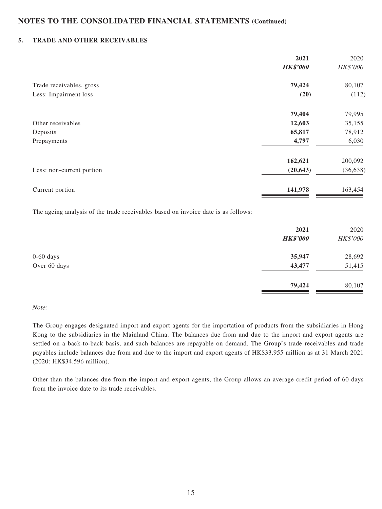#### **5. TRADE AND OTHER RECEIVABLES**

|                           | 2021            | 2020            |
|---------------------------|-----------------|-----------------|
|                           | <b>HK\$'000</b> | <b>HK\$'000</b> |
| Trade receivables, gross  | 79,424          | 80,107          |
| Less: Impairment loss     | (20)            | (112)           |
|                           | 79,404          | 79,995          |
| Other receivables         | 12,603          | 35,155          |
| Deposits                  | 65,817          | 78,912          |
| Prepayments               | 4,797           | 6,030           |
|                           | 162,621         | 200,092         |
| Less: non-current portion | (20, 643)       | (36, 638)       |
| Current portion           | 141,978         | 163,454         |

The ageing analysis of the trade receivables based on invoice date is as follows:

|              | 2021<br><b>HK\$'000</b> | 2020<br>HK\$'000 |
|--------------|-------------------------|------------------|
| $0-60$ days  | 35,947                  | 28,692           |
| Over 60 days | 43,477                  | 51,415           |
|              | 79,424                  | 80,107           |

#### Note:

The Group engages designated import and export agents for the importation of products from the subsidiaries in Hong Kong to the subsidiaries in the Mainland China. The balances due from and due to the import and export agents are settled on a back-to-back basis, and such balances are repayable on demand. The Group's trade receivables and trade payables include balances due from and due to the import and export agents of HK\$33.955 million as at 31 March 2021 (2020: HK\$34.596 million).

Other than the balances due from the import and export agents, the Group allows an average credit period of 60 days from the invoice date to its trade receivables.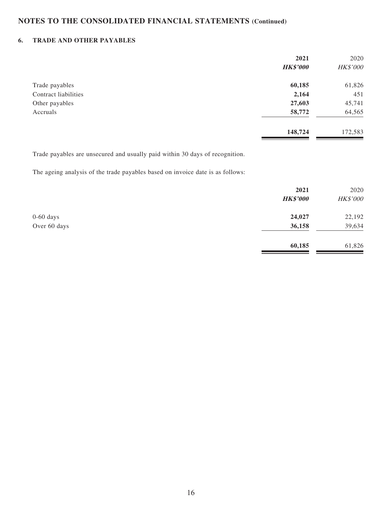### **6. TRADE AND OTHER PAYABLES**

|                      | 2021            | 2020     |
|----------------------|-----------------|----------|
|                      | <b>HK\$'000</b> | HK\$'000 |
| Trade payables       | 60,185          | 61,826   |
| Contract liabilities | 2,164           | 451      |
| Other payables       | 27,603          | 45,741   |
| Accruals             | 58,772          | 64,565   |
|                      | 148,724         | 172,583  |

Trade payables are unsecured and usually paid within 30 days of recognition.

The ageing analysis of the trade payables based on invoice date is as follows:

|              | 2021<br><b>HK\$'000</b> | 2020<br>HK\$'000 |
|--------------|-------------------------|------------------|
| $0-60$ days  | 24,027                  | 22,192           |
| Over 60 days | 36,158                  | 39,634           |
|              | 60,185                  | 61,826           |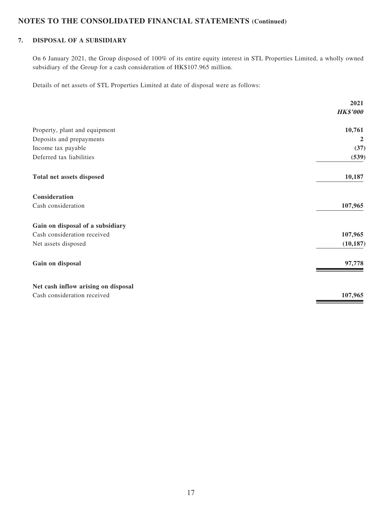### **7. DISPOSAL OF A SUBSIDIARY**

On 6 January 2021, the Group disposed of 100% of its entire equity interest in STL Properties Limited, a wholly owned subsidiary of the Group for a cash consideration of HK\$107.965 million.

Details of net assets of STL Properties Limited at date of disposal were as follows:

|                                     | 2021            |
|-------------------------------------|-----------------|
|                                     | <b>HK\$'000</b> |
| Property, plant and equipment       | 10,761          |
| Deposits and prepayments            | $\overline{2}$  |
| Income tax payable                  | (37)            |
| Deferred tax liabilities            | (539)           |
| Total net assets disposed           | 10,187          |
| Consideration                       |                 |
| Cash consideration                  | 107,965         |
| Gain on disposal of a subsidiary    |                 |
| Cash consideration received         | 107,965         |
| Net assets disposed                 | (10, 187)       |
| Gain on disposal                    | 97,778          |
| Net cash inflow arising on disposal |                 |
| Cash consideration received         | 107,965         |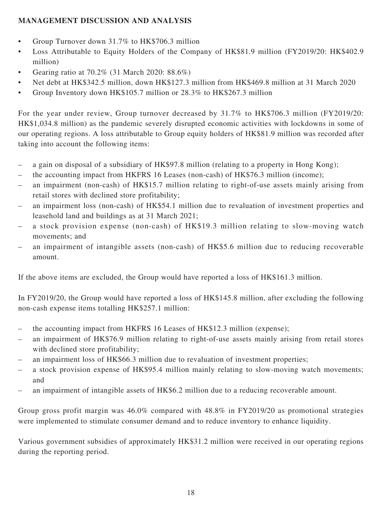## **MANAGEMENT DISCUSSION AND ANALYSIS**

- Group Turnover down 31.7% to HK\$706.3 million
- Loss Attributable to Equity Holders of the Company of HK\$81.9 million (FY2019/20: HK\$402.9 million)
- Gearing ratio at  $70.2\%$  (31 March 2020: 88.6%)
- Net debt at HK\$342.5 million, down HK\$127.3 million from HK\$469.8 million at 31 March 2020
- Group Inventory down HK\$105.7 million or 28.3% to HK\$267.3 million

For the year under review, Group turnover decreased by 31.7% to HK\$706.3 million (FY2019/20: HK\$1,034.8 million) as the pandemic severely disrupted economic activities with lockdowns in some of our operating regions. A loss attributable to Group equity holders of HK\$81.9 million was recorded after taking into account the following items:

- a gain on disposal of a subsidiary of HK\$97.8 million (relating to a property in Hong Kong);
- the accounting impact from HKFRS 16 Leases (non-cash) of HK\$76.3 million (income);
- an impairment (non-cash) of HK\$15.7 million relating to right-of-use assets mainly arising from retail stores with declined store profitability;
- an impairment loss (non-cash) of HK\$54.1 million due to revaluation of investment properties and leasehold land and buildings as at 31 March 2021;
- a stock provision expense (non-cash) of HK\$19.3 million relating to slow-moving watch movements; and
- an impairment of intangible assets (non-cash) of HK\$5.6 million due to reducing recoverable amount.

If the above items are excluded, the Group would have reported a loss of HK\$161.3 million.

In FY2019/20, the Group would have reported a loss of HK\$145.8 million, after excluding the following non-cash expense items totalling HK\$257.1 million:

- the accounting impact from HKFRS 16 Leases of HK\$12.3 million (expense);
- an impairment of HK\$76.9 million relating to right-of-use assets mainly arising from retail stores with declined store profitability;
- an impairment loss of HK\$66.3 million due to revaluation of investment properties;
- a stock provision expense of HK\$95.4 million mainly relating to slow-moving watch movements; and
- an impairment of intangible assets of HK\$6.2 million due to a reducing recoverable amount.

Group gross profit margin was 46.0% compared with 48.8% in FY2019/20 as promotional strategies were implemented to stimulate consumer demand and to reduce inventory to enhance liquidity.

Various government subsidies of approximately HK\$31.2 million were received in our operating regions during the reporting period.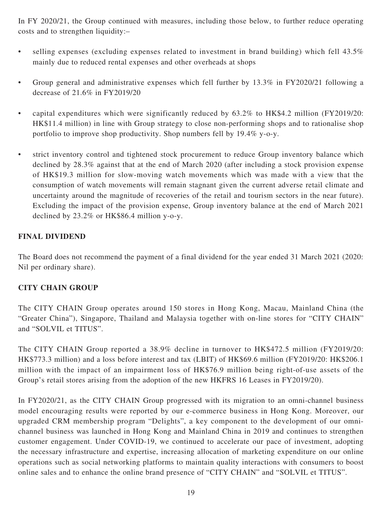In FY 2020/21, the Group continued with measures, including those below, to further reduce operating costs and to strengthen liquidity:–

- selling expenses (excluding expenses related to investment in brand building) which fell 43.5% mainly due to reduced rental expenses and other overheads at shops
- Group general and administrative expenses which fell further by 13.3% in FY2020/21 following a decrease of 21.6% in FY2019/20
- capital expenditures which were significantly reduced by 63.2% to HK\$4.2 million (FY2019/20: HK\$11.4 million) in line with Group strategy to close non-performing shops and to rationalise shop portfolio to improve shop productivity. Shop numbers fell by 19.4% y-o-y.
- strict inventory control and tightened stock procurement to reduce Group inventory balance which declined by 28.3% against that at the end of March 2020 (after including a stock provision expense of HK\$19.3 million for slow-moving watch movements which was made with a view that the consumption of watch movements will remain stagnant given the current adverse retail climate and uncertainty around the magnitude of recoveries of the retail and tourism sectors in the near future). Excluding the impact of the provision expense, Group inventory balance at the end of March 2021 declined by 23.2% or HK\$86.4 million y-o-y.

## **FINAL DIVIDEND**

The Board does not recommend the payment of a final dividend for the year ended 31 March 2021 (2020: Nil per ordinary share).

### **CITY CHAIN GROUP**

The CITY CHAIN Group operates around 150 stores in Hong Kong, Macau, Mainland China (the "Greater China"), Singapore, Thailand and Malaysia together with on-line stores for "CITY CHAIN" and "SOLVIL et TITUS".

The CITY CHAIN Group reported a 38.9% decline in turnover to HK\$472.5 million (FY2019/20: HK\$773.3 million) and a loss before interest and tax (LBIT) of HK\$69.6 million (FY2019/20: HK\$206.1 million with the impact of an impairment loss of HK\$76.9 million being right-of-use assets of the Group's retail stores arising from the adoption of the new HKFRS 16 Leases in FY2019/20).

In FY2020/21, as the CITY CHAIN Group progressed with its migration to an omni-channel business model encouraging results were reported by our e-commerce business in Hong Kong. Moreover, our upgraded CRM membership program "Delights", a key component to the development of our omnichannel business was launched in Hong Kong and Mainland China in 2019 and continues to strengthen customer engagement. Under COVID-19, we continued to accelerate our pace of investment, adopting the necessary infrastructure and expertise, increasing allocation of marketing expenditure on our online operations such as social networking platforms to maintain quality interactions with consumers to boost online sales and to enhance the online brand presence of "CITY CHAIN" and "SOLVIL et TITUS".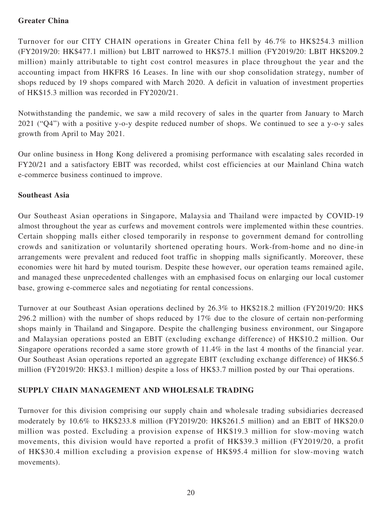## **Greater China**

Turnover for our CITY CHAIN operations in Greater China fell by 46.7% to HK\$254.3 million (FY2019/20: HK\$477.1 million) but LBIT narrowed to HK\$75.1 million (FY2019/20: LBIT HK\$209.2 million) mainly attributable to tight cost control measures in place throughout the year and the accounting impact from HKFRS 16 Leases. In line with our shop consolidation strategy, number of shops reduced by 19 shops compared with March 2020. A deficit in valuation of investment properties of HK\$15.3 million was recorded in FY2020/21.

Notwithstanding the pandemic, we saw a mild recovery of sales in the quarter from January to March 2021 ("Q4") with a positive y-o-y despite reduced number of shops. We continued to see a y-o-y sales growth from April to May 2021.

Our online business in Hong Kong delivered a promising performance with escalating sales recorded in FY20/21 and a satisfactory EBIT was recorded, whilst cost efficiencies at our Mainland China watch e-commerce business continued to improve.

## **Southeast Asia**

Our Southeast Asian operations in Singapore, Malaysia and Thailand were impacted by COVID-19 almost throughout the year as curfews and movement controls were implemented within these countries. Certain shopping malls either closed temporarily in response to government demand for controlling crowds and sanitization or voluntarily shortened operating hours. Work-from-home and no dine-in arrangements were prevalent and reduced foot traffic in shopping malls significantly. Moreover, these economies were hit hard by muted tourism. Despite these however, our operation teams remained agile, and managed these unprecedented challenges with an emphasised focus on enlarging our local customer base, growing e-commerce sales and negotiating for rental concessions.

Turnover at our Southeast Asian operations declined by 26.3% to HK\$218.2 million (FY2019/20: HK\$ 296.2 million) with the number of shops reduced by 17% due to the closure of certain non-performing shops mainly in Thailand and Singapore. Despite the challenging business environment, our Singapore and Malaysian operations posted an EBIT (excluding exchange difference) of HK\$10.2 million. Our Singapore operations recorded a same store growth of 11.4% in the last 4 months of the financial year. Our Southeast Asian operations reported an aggregate EBIT (excluding exchange difference) of HK\$6.5 million (FY2019/20: HK\$3.1 million) despite a loss of HK\$3.7 million posted by our Thai operations.

## **SUPPLY CHAIN MANAGEMENT AND WHOLESALE TRADING**

Turnover for this division comprising our supply chain and wholesale trading subsidiaries decreased moderately by 10.6% to HK\$233.8 million (FY2019/20: HK\$261.5 million) and an EBIT of HK\$20.0 million was posted. Excluding a provision expense of HK\$19.3 million for slow-moving watch movements, this division would have reported a profit of HK\$39.3 million (FY2019/20, a profit of HK\$30.4 million excluding a provision expense of HK\$95.4 million for slow-moving watch movements).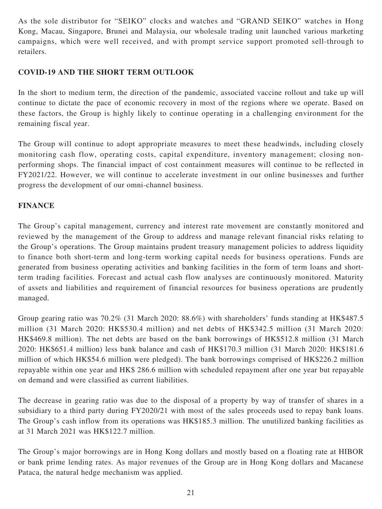As the sole distributor for "SEIKO" clocks and watches and "GRAND SEIKO" watches in Hong Kong, Macau, Singapore, Brunei and Malaysia, our wholesale trading unit launched various marketing campaigns, which were well received, and with prompt service support promoted sell-through to retailers.

## **COVID-19 AND THE SHORT TERM OUTLOOK**

In the short to medium term, the direction of the pandemic, associated vaccine rollout and take up will continue to dictate the pace of economic recovery in most of the regions where we operate. Based on these factors, the Group is highly likely to continue operating in a challenging environment for the remaining fiscal year.

The Group will continue to adopt appropriate measures to meet these headwinds, including closely monitoring cash flow, operating costs, capital expenditure, inventory management; closing nonperforming shops. The financial impact of cost containment measures will continue to be reflected in FY2021/22. However, we will continue to accelerate investment in our online businesses and further progress the development of our omni-channel business.

### **FINANCE**

The Group's capital management, currency and interest rate movement are constantly monitored and reviewed by the management of the Group to address and manage relevant financial risks relating to the Group's operations. The Group maintains prudent treasury management policies to address liquidity to finance both short-term and long-term working capital needs for business operations. Funds are generated from business operating activities and banking facilities in the form of term loans and shortterm trading facilities. Forecast and actual cash flow analyses are continuously monitored. Maturity of assets and liabilities and requirement of financial resources for business operations are prudently managed.

Group gearing ratio was 70.2% (31 March 2020: 88.6%) with shareholders' funds standing at HK\$487.5 million (31 March 2020: HK\$530.4 million) and net debts of HK\$342.5 million (31 March 2020: HK\$469.8 million). The net debts are based on the bank borrowings of HK\$512.8 million (31 March 2020: HK\$651.4 million) less bank balance and cash of HK\$170.3 million (31 March 2020: HK\$181.6 million of which HK\$54.6 million were pledged). The bank borrowings comprised of HK\$226.2 million repayable within one year and HK\$ 286.6 million with scheduled repayment after one year but repayable on demand and were classified as current liabilities.

The decrease in gearing ratio was due to the disposal of a property by way of transfer of shares in a subsidiary to a third party during FY2020/21 with most of the sales proceeds used to repay bank loans. The Group's cash inflow from its operations was HK\$185.3 million. The unutilized banking facilities as at 31 March 2021 was HK\$122.7 million.

The Group's major borrowings are in Hong Kong dollars and mostly based on a floating rate at HIBOR or bank prime lending rates. As major revenues of the Group are in Hong Kong dollars and Macanese Pataca, the natural hedge mechanism was applied.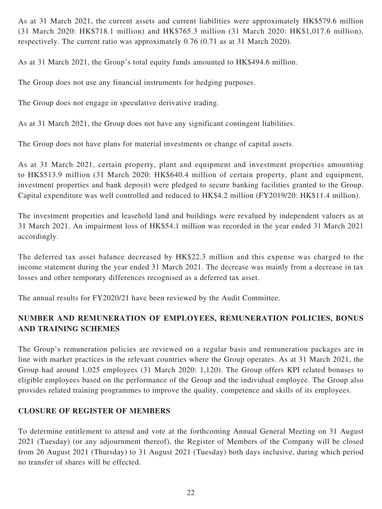As at 31 March 2021, the current assets and current liabilities were approximately HK\$579.6 million (31 March 2020: HK\$718.1 million) and HK\$765.3 million (31 March 2020: HK\$1,017.6 million), respectively. The current ratio was approximately 0.76 (0.71 as at 31 March 2020).

As at 31 March 2021, the Group's total equity funds amounted to HK\$494.6 million.

The Group does not use any financial instruments for hedging purposes.

The Group does not engage in speculative derivative trading.

As at 31 March 2021, the Group does not have any significant contingent liabilities.

The Group does not have plans for material investments or change of capital assets.

As at 31 March 2021, certain property, plant and equipment and investment properties amounting to HK\$513.9 million (31 March 2020: HK\$640.4 million of certain property, plant and equipment, investment properties and bank deposit) were pledged to secure banking facilities granted to the Group. Capital expenditure was well controlled and reduced to HK\$4.2 million (FY2019/20: HK\$11.4 million).

The investment properties and leasehold land and buildings were revalued by independent valuers as at 31 March 2021. An impairment loss of HK\$54.1 million was recorded in the year ended 31 March 2021 accordingly.

The deferred tax asset balance decreased by HK\$22.3 million and this expense was charged to the income statement during the year ended 31 March 2021. The decrease was mainly from a decrease in tax losses and other temporary differences recognised as a deferred tax asset.

The annual results for FY2020/21 have been reviewed by the Audit Committee.

# **NUMBER AND REMUNERATION OF EMPLOYEES, REMUNERATION POLICIES, BONUS AND TRAINING SCHEMES**

The Group's remuneration policies are reviewed on a regular basis and remuneration packages are in line with market practices in the relevant countries where the Group operates. As at 31 March 2021, the Group had around 1,025 employees (31 March 2020: 1,120). The Group offers KPI related bonuses to eligible employees based on the performance of the Group and the individual employee. The Group also provides related training programmes to improve the quality, competence and skills of its employees.

## **CLOSURE OF REGISTER OF MEMBERS**

To determine entitlement to attend and vote at the forthcoming Annual General Meeting on 31 August 2021 (Tuesday) (or any adjournment thereof), the Register of Members of the Company will be closed from 26 August 2021 (Thursday) to 31 August 2021 (Tuesday) both days inclusive, during which period no transfer of shares will be effected.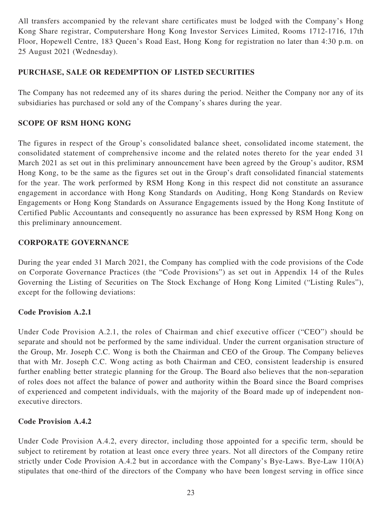All transfers accompanied by the relevant share certificates must be lodged with the Company's Hong Kong Share registrar, Computershare Hong Kong Investor Services Limited, Rooms 1712-1716, 17th Floor, Hopewell Centre, 183 Queen's Road East, Hong Kong for registration no later than 4:30 p.m. on 25 August 2021 (Wednesday).

## **PURCHASE, SALE OR REDEMPTION OF LISTED SECURITIES**

The Company has not redeemed any of its shares during the period. Neither the Company nor any of its subsidiaries has purchased or sold any of the Company's shares during the year.

## **SCOPE OF RSM HONG KONG**

The figures in respect of the Group's consolidated balance sheet, consolidated income statement, the consolidated statement of comprehensive income and the related notes thereto for the year ended 31 March 2021 as set out in this preliminary announcement have been agreed by the Group's auditor, RSM Hong Kong, to be the same as the figures set out in the Group's draft consolidated financial statements for the year. The work performed by RSM Hong Kong in this respect did not constitute an assurance engagement in accordance with Hong Kong Standards on Auditing, Hong Kong Standards on Review Engagements or Hong Kong Standards on Assurance Engagements issued by the Hong Kong Institute of Certified Public Accountants and consequently no assurance has been expressed by RSM Hong Kong on this preliminary announcement.

### **CORPORATE GOVERNANCE**

During the year ended 31 March 2021, the Company has complied with the code provisions of the Code on Corporate Governance Practices (the "Code Provisions") as set out in Appendix 14 of the Rules Governing the Listing of Securities on The Stock Exchange of Hong Kong Limited ("Listing Rules"), except for the following deviations:

### **Code Provision A.2.1**

Under Code Provision A.2.1, the roles of Chairman and chief executive officer ("CEO") should be separate and should not be performed by the same individual. Under the current organisation structure of the Group, Mr. Joseph C.C. Wong is both the Chairman and CEO of the Group. The Company believes that with Mr. Joseph C.C. Wong acting as both Chairman and CEO, consistent leadership is ensured further enabling better strategic planning for the Group. The Board also believes that the non-separation of roles does not affect the balance of power and authority within the Board since the Board comprises of experienced and competent individuals, with the majority of the Board made up of independent nonexecutive directors.

## **Code Provision A.4.2**

Under Code Provision A.4.2, every director, including those appointed for a specific term, should be subject to retirement by rotation at least once every three years. Not all directors of the Company retire strictly under Code Provision A.4.2 but in accordance with the Company's Bye-Laws. Bye-Law 110(A) stipulates that one-third of the directors of the Company who have been longest serving in office since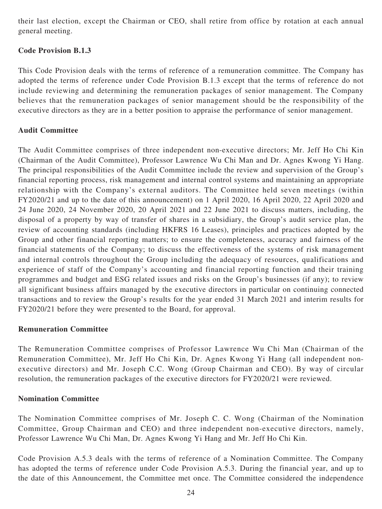their last election, except the Chairman or CEO, shall retire from office by rotation at each annual general meeting.

## **Code Provision B.1.3**

This Code Provision deals with the terms of reference of a remuneration committee. The Company has adopted the terms of reference under Code Provision B.1.3 except that the terms of reference do not include reviewing and determining the remuneration packages of senior management. The Company believes that the remuneration packages of senior management should be the responsibility of the executive directors as they are in a better position to appraise the performance of senior management.

## **Audit Committee**

The Audit Committee comprises of three independent non-executive directors; Mr. Jeff Ho Chi Kin (Chairman of the Audit Committee), Professor Lawrence Wu Chi Man and Dr. Agnes Kwong Yi Hang. The principal responsibilities of the Audit Committee include the review and supervision of the Group's financial reporting process, risk management and internal control systems and maintaining an appropriate relationship with the Company's external auditors. The Committee held seven meetings (within FY2020/21 and up to the date of this announcement) on 1 April 2020, 16 April 2020, 22 April 2020 and 24 June 2020, 24 November 2020, 20 April 2021 and 22 June 2021 to discuss matters, including, the disposal of a property by way of transfer of shares in a subsidiary, the Group's audit service plan, the review of accounting standards (including HKFRS 16 Leases), principles and practices adopted by the Group and other financial reporting matters; to ensure the completeness, accuracy and fairness of the financial statements of the Company; to discuss the effectiveness of the systems of risk management and internal controls throughout the Group including the adequacy of resources, qualifications and experience of staff of the Company's accounting and financial reporting function and their training programmes and budget and ESG related issues and risks on the Group's businesses (if any); to review all significant business affairs managed by the executive directors in particular on continuing connected transactions and to review the Group's results for the year ended 31 March 2021 and interim results for FY2020/21 before they were presented to the Board, for approval.

### **Remuneration Committee**

The Remuneration Committee comprises of Professor Lawrence Wu Chi Man (Chairman of the Remuneration Committee), Mr. Jeff Ho Chi Kin, Dr. Agnes Kwong Yi Hang (all independent nonexecutive directors) and Mr. Joseph C.C. Wong (Group Chairman and CEO). By way of circular resolution, the remuneration packages of the executive directors for FY2020/21 were reviewed.

### **Nomination Committee**

The Nomination Committee comprises of Mr. Joseph C. C. Wong (Chairman of the Nomination Committee, Group Chairman and CEO) and three independent non-executive directors, namely, Professor Lawrence Wu Chi Man, Dr. Agnes Kwong Yi Hang and Mr. Jeff Ho Chi Kin.

Code Provision A.5.3 deals with the terms of reference of a Nomination Committee. The Company has adopted the terms of reference under Code Provision A.5.3. During the financial year, and up to the date of this Announcement, the Committee met once. The Committee considered the independence